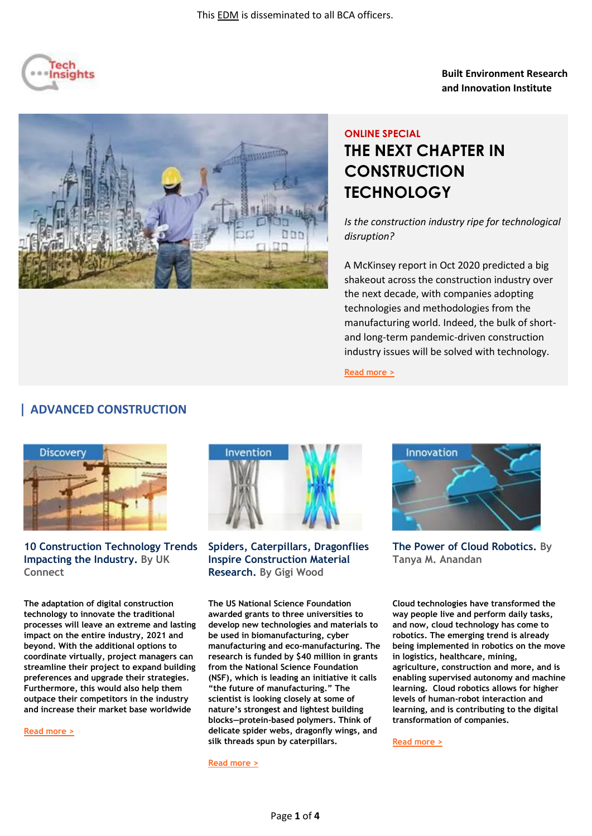

#### **Built Environment Research and Innovation Institute**

# **ONLINE SPECIAL THE NEXT CHAPTER IN CONSTRUCTION TECHNOLOGY**

*Is the construction industry ripe for technological disruption?* 

A McKinsey report in Oct 2020 predicted a big shakeout across the construction industry over the next decade, with companies adopting technologies and methodologies from the manufacturing world. Indeed, the bulk of shortand long-term pandemic-driven construction industry issues will be solved with technology.

**[Read more >](https://safe.menlosecurity.com/https:/www.mckinsey.com/~/media/McKinsey/Industries/Private%20Equity%20and%20Principal%20Investors/Our%20Insights/Rise%20of%20the%20platform%20era%20The%20next%20chapter%20in%20construction%20technology/Rise-of-the-platform-era-The-next-chapter-in-construction-technology-VFinal.pdf?shouldIndex=false)**

#### **| ADVANCED CONSTRUCTION**



**10 Construction Technology Trends Impacting the Industry. By UK Connect**

**The adaptation of digital construction technology to innovate the traditional processes will leave an extreme and lasting impact on the entire industry, 2021 and beyond. With the additional options to coordinate virtually, project managers can streamline their project to expand building preferences and upgrade their strategies. Furthermore, this would also help them outpace their competitors in the industry and increase their market base worldwide**

**[Read more >](https://ukconnect.com/construction-technology-trends/)**



**Spiders, Caterpillars, Dragonflies Inspire Construction Material Research. By Gigi Wood**

**The US National Science Foundation awarded grants to three universities to develop new technologies and materials to be used in biomanufacturing, cyber manufacturing and eco-manufacturing. The research is funded by \$40 million in grants from the National Science Foundation (NSF), which is leading an initiative it calls "the future of manufacturing." The scientist is looking closely at some of nature's strongest and lightest building blocks—protein-based polymers. Think of delicate spider webs, dragonfly wings, and silk threads spun by caterpillars.**

**[Read more >](https://www.forconstructionpros.com/construction-technology/news/21206236/spiders-caterpillars-dragonflies-inspire-construction-materials-cyber-manufacturing)**



**The Power of Cloud Robotics. By Tanya M. Anandan**

**Cloud technologies have transformed the way people live and perform daily tasks, and now, cloud technology has come to robotics. The emerging trend is already being implemented in robotics on the move in logistics, healthcare, mining, agriculture, construction and more, and is enabling supervised autonomy and machine learning. Cloud robotics allows for higher levels of human-robot interaction and learning, and is contributing to the digital transformation of companies.**

**[Read more >](https://www.robotics.org/content-detail.cfm/Industrial-Robotics-Industry-Insights/The-Power-of-Cloud-Robotics/content_id/8383)**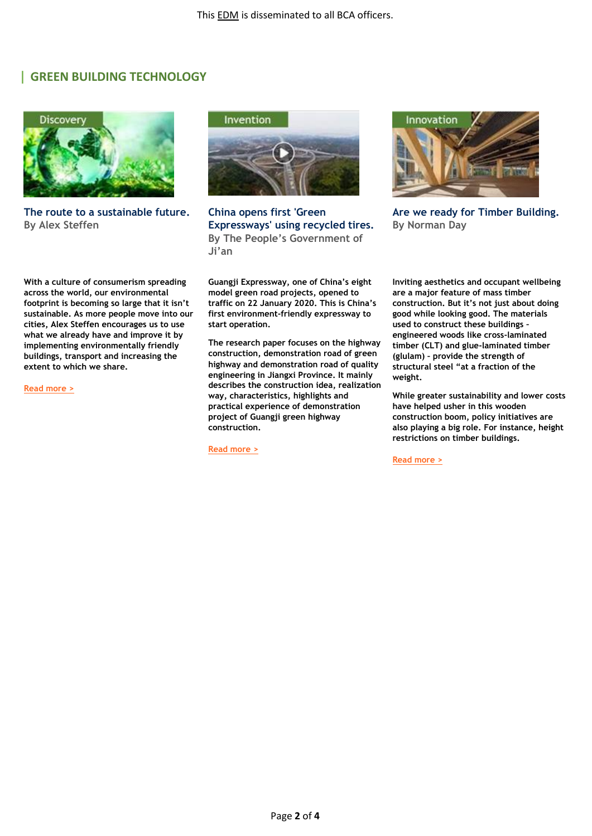#### **| GREEN BUILDING TECHNOLOGY**



**The route to a sustainable future. By Alex Steffen**

**With a culture of consumerism spreading across the world, our environmental footprint is becoming so large that it isn't sustainable. As more people move into our cities, Alex Steffen encourages us to use what we already have and improve it by implementing environmentally friendly buildings, transport and increasing the extent to which we share.**

**[Read more >](https://www.ted.com/talks/alex_steffen_the_route_to_a_sustainable_future?utm_campaign=tedspread&utm_medium=referral&utm_source=tedcomshare)**



**China opens first 'Green Expressways' using recycled tires. By The People's Government of Ji'an**

**Guangji Expressway, one of China's eight model green road projects, opened to traffic on 22 January 2020. This is China's first environment-friendly expressway to start operation.**

**The research paper focuses on the highway construction, demonstration road of green highway and demonstration road of quality engineering in Jiangxi Province. It mainly describes the construction idea, realization way, characteristics, highlights and practical experience of demonstration project of Guangji green highway construction.**

**[Read more >](https://www.robotics.org/content-detail.cfm/Industrial-Robotics-Industry-Insights/The-Power-of-Cloud-Robotics/content_id/8383)**



**Are we ready for Timber Building. By Norman Day**

**Inviting aesthetics and occupant wellbeing are a major feature of mass timber construction. But it's not just about doing good while looking good. The materials used to construct these buildings – engineered woods like cross-laminated timber (CLT) and glue-laminated timber (glulam) – provide the strength of structural steel "at a fraction of the weight.**

**While greater sustainability and lower costs have helped usher in this wooden construction boom, policy initiatives are also playing a big role. For instance, height restrictions on timber buildings.**

**[Read more >](https://business.inquirer.net/315043/are-we-ready-for-timber-buildings)**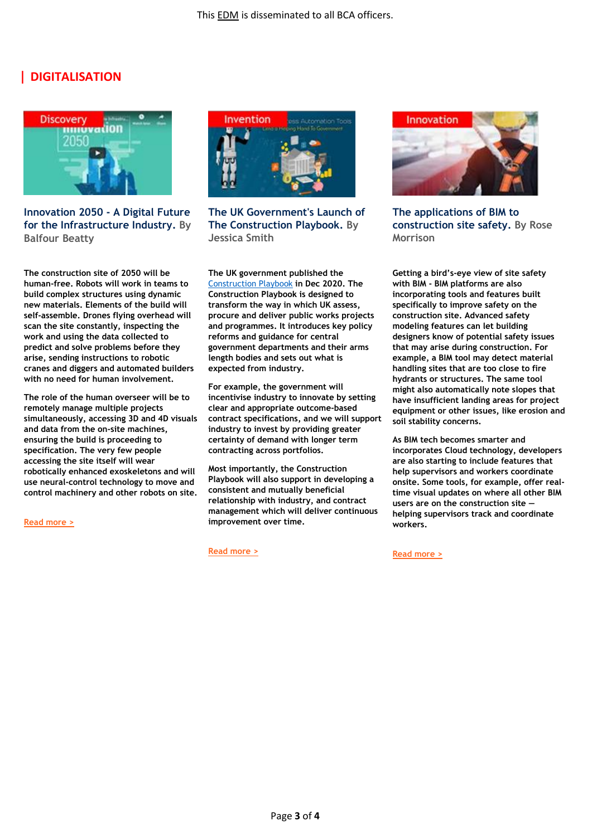### **| DIGITALISATION**



**Innovation 2050 - A Digital Future for the Infrastructure Industry. By Balfour Beatty**

**The construction site of 2050 will be human-free. Robots will work in teams to build complex structures using dynamic new materials. Elements of the build will self-assemble. Drones flying overhead will scan the site constantly, inspecting the work and using the data collected to predict and solve problems before they arise, sending instructions to robotic cranes and diggers and automated builders with no need for human involvement.** 

**The role of the human overseer will be to remotely manage multiple projects simultaneously, accessing 3D and 4D visuals and data from the on-site machines, ensuring the build is proceeding to specification. The very few people accessing the site itself will wear robotically enhanced exoskeletons and will use neural-control technology to move and control machinery and other robots on site.**

**[Read more >](https://www.balfourbeatty.com/media/244600/balfour-beatty-innovation-2050.pdf)**



**The UK Government's Launch of The Construction Playbook. By Jessica Smith**

**The UK government published the**  [Construction Playbook](https://safe.menlosecurity.com/https:/assets.publishing.service.gov.uk/government/uploads/system/uploads/attachment_data/file/941536/The_Construction_Playbook.pdf) **in Dec 2020. The Construction Playbook is designed to transform the way in which UK assess, procure and deliver public works projects and programmes. It introduces key policy reforms and guidance for central government departments and their arms length bodies and sets out what is expected from industry.** 

**For example, the government will incentivise industry to innovate by setting clear and appropriate outcome-based contract specifications, and we will support industry to invest by providing greater certainty of demand with longer term contracting across portfolios.** 

**Most importantly, the Construction Playbook will also support in developing a consistent and mutually beneficial relationship with industry, and contract management which will deliver continuous improvement over time.**

**[Read more >](https://www.withersworldwide.com/en-gb/insight/no-more-playing-around-the-uk-government-s-launch-of-the-construction-playbook)**



**The applications of BIM to construction site safety. By Rose Morrison**

**Getting a bird's-eye view of site safety with BIM - BIM platforms are also incorporating tools and features built specifically to improve safety on the construction site. Advanced safety modeling features can let building designers know of potential safety issues that may arise during construction. For example, a BIM tool may detect material handling sites that are too close to fire hydrants or structures. The same tool might also automatically note slopes that have insufficient landing areas for project equipment or other issues, like erosion and soil stability concerns.** 

**As BIM tech becomes smarter and incorporates Cloud technology, developers are also starting to include features that help supervisors and workers coordinate onsite. Some tools, for example, offer realtime visual updates on where all other BIM users are on the construction site helping supervisors track and coordinate workers.**

**[Read more >](https://www.geospatialworld.net/blogs/the-applications-of-bim-to-construction-site-safety/)**